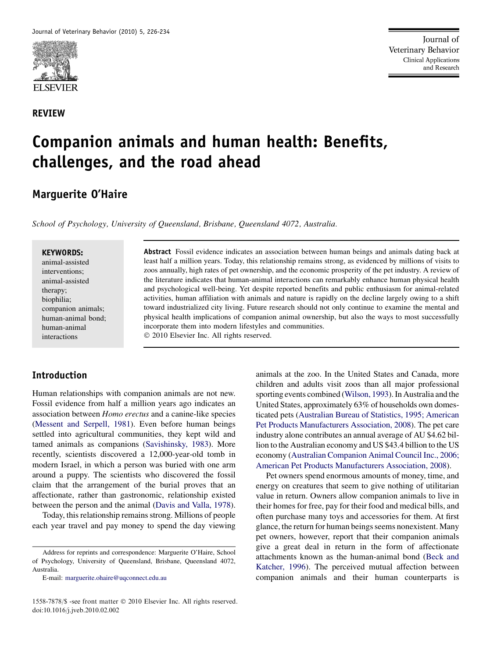

REVIEW

# Companion animals and human health: Benefits, challenges, and the road ahead

# Marguerite O'Haire

School of Psychology, University of Queensland, Brisbane, Queensland 4072, Australia.

#### KEYWORDS:

animal-assisted interventions; animal-assisted therapy; biophilia; companion animals; human-animal bond; human-animal interactions

Abstract Fossil evidence indicates an association between human beings and animals dating back at least half a million years. Today, this relationship remains strong, as evidenced by millions of visits to zoos annually, high rates of pet ownership, and the economic prosperity of the pet industry. A review of the literature indicates that human-animal interactions can remarkably enhance human physical health and psychological well-being. Yet despite reported benefits and public enthusiasm for animal-related activities, human affiliation with animals and nature is rapidly on the decline largely owing to a shift toward industrialized city living. Future research should not only continue to examine the mental and physical health implications of companion animal ownership, but also the ways to most successfully incorporate them into modern lifestyles and communities.  $© 2010 Elsevier Inc. All rights reserved.$ 

## Introduction

Human relationships with companion animals are not new. Fossil evidence from half a million years ago indicates an association between Homo erectus and a canine-like species [\(Messent and Serpell, 1981](#page-8-0)). Even before human beings settled into agricultural communities, they kept wild and tamed animals as companions [\(Savishinsky, 1983](#page-8-0)). More recently, scientists discovered a 12,000-year-old tomb in modern Israel, in which a person was buried with one arm around a puppy. The scientists who discovered the fossil claim that the arrangement of the burial proves that an affectionate, rather than gastronomic, relationship existed between the person and the animal [\(Davis and Valla, 1978](#page-7-0)).

Today, this relationship remains strong. Millions of people each year travel and pay money to spend the day viewing

1558-7878/\$ -see front matter © 2010 Elsevier Inc. All rights reserved. doi:10.1016/j.jveb.2010.02.002

animals at the zoo. In the United States and Canada, more children and adults visit zoos than all major professional sporting events combined [\(Wilson, 1993](#page-8-0)). In Australia and the United States, approximately 63% of households own domesticated pets [\(Australian Bureau of Statistics, 1995; American](#page-6-0) [Pet Products Manufacturers Association, 2008](#page-6-0)). The pet care industry alone contributes an annual average of AU \$4.62 billion to the Australian economy and US \$43.4 billion to the US economy [\(Australian Companion Animal Council Inc., 2006;](#page-6-0) [American Pet Products Manufacturers Association, 2008](#page-6-0)).

Pet owners spend enormous amounts of money, time, and energy on creatures that seem to give nothing of utilitarian value in return. Owners allow companion animals to live in their homes for free, pay for their food and medical bills, and often purchase many toys and accessories for them. At first glance, the return for human beings seems nonexistent. Many pet owners, however, report that their companion animals give a great deal in return in the form of affectionate attachments known as the human-animal bond [\(Beck and](#page-7-0) [Katcher, 1996\)](#page-7-0). The perceived mutual affection between companion animals and their human counterparts is

Address for reprints and correspondence: Marguerite O'Haire, School of Psychology, University of Queensland, Brisbane, Queensland 4072, Australia.

E-mail: [marguerite.ohaire@uqconnect.edu.au](mailto:marguerite.ohaire@uqconnect.edu.au)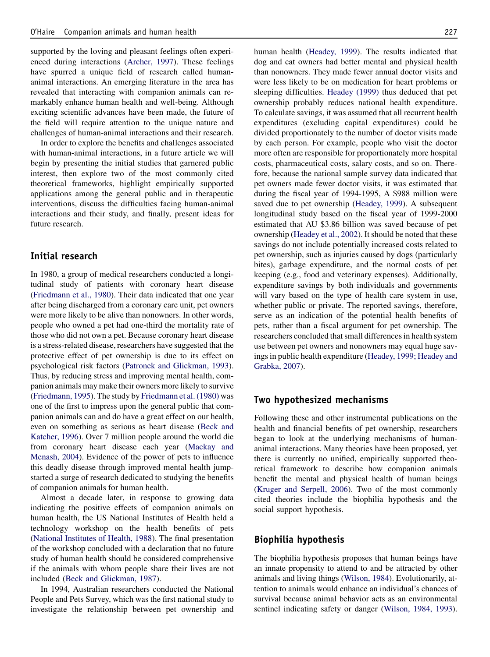supported by the loving and pleasant feelings often experienced during interactions ([Archer, 1997](#page-6-0)). These feelings have spurred a unique field of research called humananimal interactions. An emerging literature in the area has revealed that interacting with companion animals can remarkably enhance human health and well-being. Although exciting scientific advances have been made, the future of the field will require attention to the unique nature and challenges of human-animal interactions and their research.

In order to explore the benefits and challenges associated with human-animal interactions, in a future article we will begin by presenting the initial studies that garnered public interest, then explore two of the most commonly cited theoretical frameworks, highlight empirically supported applications among the general public and in therapeutic interventions, discuss the difficulties facing human-animal interactions and their study, and finally, present ideas for future research.

### Initial research

In 1980, a group of medical researchers conducted a longitudinal study of patients with coronary heart disease [\(Friedmann et al., 1980](#page-7-0)). Their data indicated that one year after being discharged from a coronary care unit, pet owners were more likely to be alive than nonowners. In other words, people who owned a pet had one-third the mortality rate of those who did not own a pet. Because coronary heart disease is a stress-related disease, researchers have suggested that the protective effect of pet ownership is due to its effect on psychological risk factors [\(Patronek and Glickman, 1993](#page-8-0)). Thus, by reducing stress and improving mental health, companion animals may make their owners more likely to survive [\(Friedmann, 1995\)](#page-7-0). The study by [Friedmann et al. \(1980\)](#page-7-0) was one of the first to impress upon the general public that companion animals can and do have a great effect on our health, even on something as serious as heart disease ([Beck and](#page-7-0) [Katcher, 1996](#page-7-0)). Over 7 million people around the world die from coronary heart disease each year [\(Mackay and](#page-8-0) [Menash, 2004\)](#page-8-0). Evidence of the power of pets to influence this deadly disease through improved mental health jumpstarted a surge of research dedicated to studying the benefits of companion animals for human health.

Almost a decade later, in response to growing data indicating the positive effects of companion animals on human health, the US National Institutes of Health held a technology workshop on the health benefits of pets [\(National Institutes of Health, 1988\)](#page-8-0). The final presentation of the workshop concluded with a declaration that no future study of human health should be considered comprehensive if the animals with whom people share their lives are not included [\(Beck and Glickman, 1987](#page-7-0)).

In 1994, Australian researchers conducted the National People and Pets Survey, which was the first national study to investigate the relationship between pet ownership and

human health [\(Headey, 1999](#page-7-0)). The results indicated that dog and cat owners had better mental and physical health than nonowners. They made fewer annual doctor visits and were less likely to be on medication for heart problems or sleeping difficulties. [Headey \(1999\)](#page-7-0) thus deduced that pet ownership probably reduces national health expenditure. To calculate savings, it was assumed that all recurrent health expenditures (excluding capital expenditures) could be divided proportionately to the number of doctor visits made by each person. For example, people who visit the doctor more often are responsible for proportionately more hospital costs, pharmaceutical costs, salary costs, and so on. Therefore, because the national sample survey data indicated that pet owners made fewer doctor visits, it was estimated that during the fiscal year of 1994-1995, A \$988 million were saved due to pet ownership ([Headey, 1999\)](#page-7-0). A subsequent longitudinal study based on the fiscal year of 1999-2000 estimated that AU \$3.86 billion was saved because of pet ownership [\(Headey et al., 2002\)](#page-7-0). It should be noted that these savings do not include potentially increased costs related to pet ownership, such as injuries caused by dogs (particularly bites), garbage expenditure, and the normal costs of pet keeping (e.g., food and veterinary expenses). Additionally, expenditure savings by both individuals and governments will vary based on the type of health care system in use, whether public or private. The reported savings, therefore, serve as an indication of the potential health benefits of pets, rather than a fiscal argument for pet ownership. The researchers concluded that small differences in health system use between pet owners and nonowners may equal huge savings in public health expenditure ([Headey, 1999; Headey and](#page-7-0) [Grabka, 2007](#page-7-0)).

#### Two hypothesized mechanisms

Following these and other instrumental publications on the health and financial benefits of pet ownership, researchers began to look at the underlying mechanisms of humananimal interactions. Many theories have been proposed, yet there is currently no unified, empirically supported theoretical framework to describe how companion animals benefit the mental and physical health of human beings [\(Kruger and Serpell, 2006](#page-7-0)). Two of the most commonly cited theories include the biophilia hypothesis and the social support hypothesis.

## Biophilia hypothesis

The biophilia hypothesis proposes that human beings have an innate propensity to attend to and be attracted by other animals and living things ([Wilson, 1984\)](#page-8-0). Evolutionarily, attention to animals would enhance an individual's chances of survival because animal behavior acts as an environmental sentinel indicating safety or danger [\(Wilson, 1984, 1993](#page-8-0)).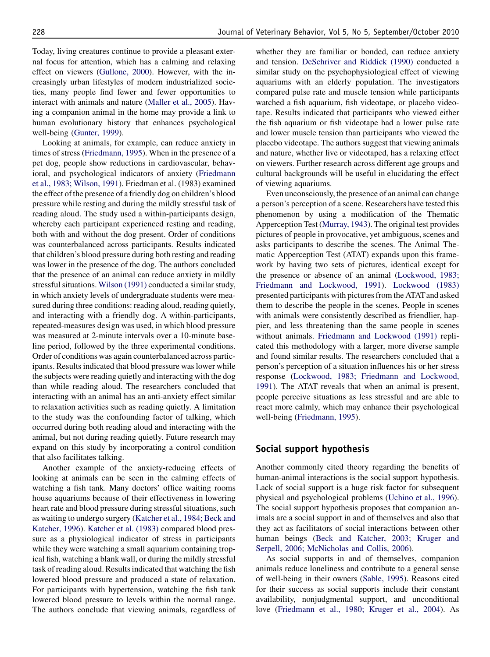Today, living creatures continue to provide a pleasant external focus for attention, which has a calming and relaxing effect on viewers ([Gullone, 2000](#page-7-0)). However, with the increasingly urban lifestyles of modern industrialized societies, many people find fewer and fewer opportunities to interact with animals and nature ([Maller et al., 2005\)](#page-8-0). Having a companion animal in the home may provide a link to human evolutionary history that enhances psychological well-being [\(Gunter, 1999\)](#page-7-0).

Looking at animals, for example, can reduce anxiety in times of stress ([Friedmann, 1995](#page-7-0)). When in the presence of a pet dog, people show reductions in cardiovascular, behavioral, and psychological indicators of anxiety ([Friedmann](#page-7-0) [et al., 1983; Wilson, 1991\)](#page-7-0). Friedman et al. (1983) examined the effect of the presence of a friendly dog on children's blood pressure while resting and during the mildly stressful task of reading aloud. The study used a within-participants design, whereby each participant experienced resting and reading, both with and without the dog present. Order of conditions was counterbalanced across participants. Results indicated that children's blood pressure during both resting and reading was lower in the presence of the dog. The authors concluded that the presence of an animal can reduce anxiety in mildly stressful situations. [Wilson \(1991\)](#page-8-0) conducted a similar study, in which anxiety levels of undergraduate students were measured during three conditions: reading aloud, reading quietly, and interacting with a friendly dog. A within-participants, repeated-measures design was used, in which blood pressure was measured at 2-minute intervals over a 10-minute baseline period, followed by the three experimental conditions. Order of conditions was again counterbalanced across participants. Results indicated that blood pressure was lower while the subjects were reading quietly and interacting with the dog than while reading aloud. The researchers concluded that interacting with an animal has an anti-anxiety effect similar to relaxation activities such as reading quietly. A limitation to the study was the confounding factor of talking, which occurred during both reading aloud and interacting with the animal, but not during reading quietly. Future research may expand on this study by incorporating a control condition that also facilitates talking.

Another example of the anxiety-reducing effects of looking at animals can be seen in the calming effects of watching a fish tank. Many doctors' office waiting rooms house aquariums because of their effectiveness in lowering heart rate and blood pressure during stressful situations, such as waiting to undergo surgery [\(Katcher et al., 1984; Beck and](#page-7-0) [Katcher, 1996\)](#page-7-0). [Katcher et al. \(1983\)](#page-7-0) compared blood pressure as a physiological indicator of stress in participants while they were watching a small aquarium containing tropical fish, watching a blank wall, or during the mildly stressful task of reading aloud. Results indicated that watching the fish lowered blood pressure and produced a state of relaxation. For participants with hypertension, watching the fish tank lowered blood pressure to levels within the normal range. The authors conclude that viewing animals, regardless of

whether they are familiar or bonded, can reduce anxiety and tension. [DeSchriver and Riddick \(1990\)](#page-7-0) conducted a similar study on the psychophysiological effect of viewing aquariums with an elderly population. The investigators compared pulse rate and muscle tension while participants watched a fish aquarium, fish videotape, or placebo videotape. Results indicated that participants who viewed either the fish aquarium or fish videotape had a lower pulse rate and lower muscle tension than participants who viewed the placebo videotape. The authors suggest that viewing animals and nature, whether live or videotaped, has a relaxing effect on viewers. Further research across different age groups and cultural backgrounds will be useful in elucidating the effect of viewing aquariums.

Even unconsciously, the presence of an animal can change a person's perception of a scene. Researchers have tested this phenomenon by using a modification of the Thematic Apperception Test ([Murray, 1943](#page-8-0)). The original test provides pictures of people in provocative, yet ambiguous, scenes and asks participants to describe the scenes. The Animal Thematic Apperception Test (ATAT) expands upon this framework by having two sets of pictures, identical except for the presence or absence of an animal ([Lockwood, 1983;](#page-7-0) [Friedmann and Lockwood, 1991\)](#page-7-0). [Lockwood \(1983\)](#page-7-0) presented participants with pictures from the ATATand asked them to describe the people in the scenes. People in scenes with animals were consistently described as friendlier, happier, and less threatening than the same people in scenes without animals. [Friedmann and Lockwood \(1991\)](#page-7-0) replicated this methodology with a larger, more diverse sample and found similar results. The researchers concluded that a person's perception of a situation influences his or her stress response [\(Lockwood, 1983; Friedmann and Lockwood,](#page-7-0) [1991](#page-7-0)). The ATAT reveals that when an animal is present, people perceive situations as less stressful and are able to react more calmly, which may enhance their psychological well-being ([Friedmann, 1995](#page-7-0)).

#### Social support hypothesis

Another commonly cited theory regarding the benefits of human-animal interactions is the social support hypothesis. Lack of social support is a huge risk factor for subsequent physical and psychological problems ([Uchino et al., 1996](#page-8-0)). The social support hypothesis proposes that companion animals are a social support in and of themselves and also that they act as facilitators of social interactions between other human beings [\(Beck and Katcher, 2003; Kruger and](#page-7-0) [Serpell, 2006; McNicholas and Collis, 2006\)](#page-7-0).

As social supports in and of themselves, companion animals reduce loneliness and contribute to a general sense of well-being in their owners ([Sable, 1995\)](#page-8-0). Reasons cited for their success as social supports include their constant availability, nonjudgmental support, and unconditional love ([Friedmann et al., 1980; Kruger et al., 2004\)](#page-7-0). As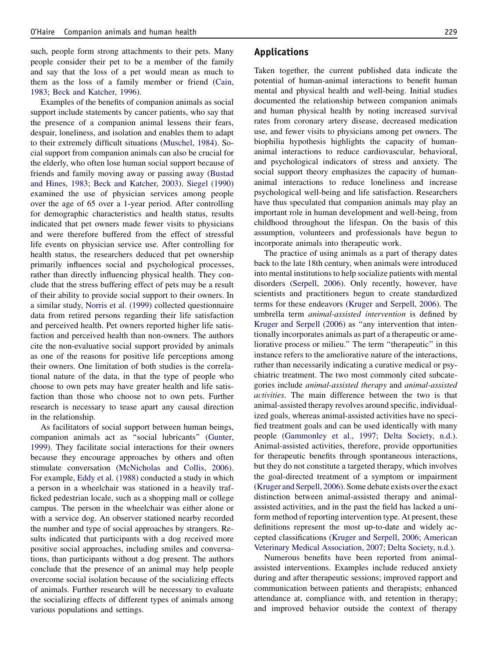such, people form strong attachments to their pets. Many people consider their pet to be a member of the family and say that the loss of a pet would mean as much to them as the loss of a family member or friend ([Cain,](#page-7-0) [1983; Beck and Katcher, 1996\)](#page-7-0).

Examples of the benefits of companion animals as social support include statements by cancer patients, who say that the presence of a companion animal lessens their fears, despair, loneliness, and isolation and enables them to adapt to their extremely difficult situations ([Muschel, 1984](#page-8-0)). Social support from companion animals can also be crucial for the elderly, who often lose human social support because of friends and family moving away or passing away [\(Bustad](#page-7-0) [and Hines, 1983; Beck and Katcher, 2003](#page-7-0)). [Siegel \(1990\)](#page-8-0) examined the use of physician services among people over the age of 65 over a 1-year period. After controlling for demographic characteristics and health status, results indicated that pet owners made fewer visits to physicians and were therefore buffered from the effect of stressful life events on physician service use. After controlling for health status, the researchers deduced that pet ownership primarily influences social and psychological processes, rather than directly influencing physical health. They conclude that the stress buffering effect of pets may be a result of their ability to provide social support to their owners. In a similar study, [Norris et al. \(1999\)](#page-8-0) collected questionnaire data from retired persons regarding their life satisfaction and perceived health. Pet owners reported higher life satisfaction and perceived health than non-owners. The authors cite the non-evaluative social support provided by animals as one of the reasons for positive life perceptions among their owners. One limitation of both studies is the correlational nature of the data, in that the type of people who choose to own pets may have greater health and life satisfaction than those who choose not to own pets. Further research is necessary to tease apart any causal direction in the relationship.

As facilitators of social support between human beings, companion animals act as ''social lubricants'' ([Gunter,](#page-7-0) [1999\)](#page-7-0). They facilitate social interactions for their owners because they encourage approaches by others and often stimulate conversation ([McNicholas and Collis, 2006](#page-8-0)). For example, [Eddy et al. \(1988\)](#page-7-0) conducted a study in which a person in a wheelchair was stationed in a heavily trafficked pedestrian locale, such as a shopping mall or college campus. The person in the wheelchair was either alone or with a service dog. An observer stationed nearby recorded the number and type of social approaches by strangers. Results indicated that participants with a dog received more positive social approaches, including smiles and conversations, than participants without a dog present. The authors conclude that the presence of an animal may help people overcome social isolation because of the socializing effects of animals. Further research will be necessary to evaluate the socializing effects of different types of animals among various populations and settings.

#### Applications

Taken together, the current published data indicate the potential of human-animal interactions to benefit human mental and physical health and well-being. Initial studies documented the relationship between companion animals and human physical health by noting increased survival rates from coronary artery disease, decreased medication use, and fewer visits to physicians among pet owners. The biophilia hypothesis highlights the capacity of humananimal interactions to reduce cardiovascular, behavioral, and psychological indicators of stress and anxiety. The social support theory emphasizes the capacity of humananimal interactions to reduce loneliness and increase psychological well-being and life satisfaction. Researchers have thus speculated that companion animals may play an important role in human development and well-being, from childhood throughout the lifespan. On the basis of this assumption, volunteers and professionals have begun to incorporate animals into therapeutic work.

The practice of using animals as a part of therapy dates back to the late 18th century, when animals were introduced into mental institutions to help socialize patients with mental disorders [\(Serpell, 2006\)](#page-8-0). Only recently, however, have scientists and practitioners begun to create standardized terms for these endeavors ([Kruger and Serpell, 2006](#page-7-0)). The umbrella term animal-assisted intervention is defined by [Kruger and Serpell \(2006\)](#page-7-0) as ''any intervention that intentionally incorporates animals as part of a therapeutic or ameliorative process or milieu.'' The term ''therapeutic'' in this instance refers to the ameliorative nature of the interactions, rather than necessarily indicating a curative medical or psychiatric treatment. The two most commonly cited subcategories include animal-assisted therapy and animal-assisted activities. The main difference between the two is that animal-assisted therapy revolves around specific, individualized goals, whereas animal-assisted activities have no specified treatment goals and can be used identically with many people [\(Gammonley et al., 1997; Delta Society, n.d.](#page-7-0)). Animal-assisted activities, therefore, provide opportunities for therapeutic benefits through spontaneous interactions, but they do not constitute a targeted therapy, which involves the goal-directed treatment of a symptom or impairment [\(Kruger and Serpell, 2006](#page-7-0)). Some debate exists over the exact distinction between animal-assisted therapy and animalassisted activities, and in the past the field has lacked a uniform method of reporting intervention type. At present, these definitions represent the most up-to-date and widely accepted classifications [\(Kruger and Serpell, 2006; American](#page-7-0) [Veterinary Medical Association, 2007;](#page-7-0) [Delta Society, n.d.\)](#page-7-0).

Numerous benefits have been reported from animalassisted interventions. Examples include reduced anxiety during and after therapeutic sessions; improved rapport and communication between patients and therapists; enhanced attendance at, compliance with, and retention in therapy; and improved behavior outside the context of therapy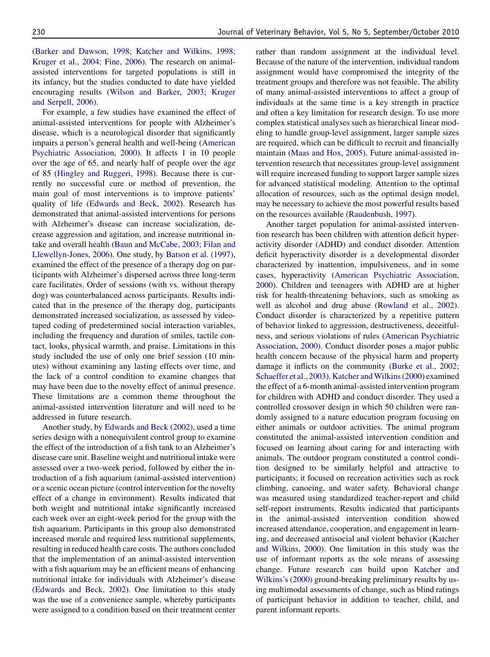[\(Barker and Dawson, 1998; Katcher and Wilkins, 1998;](#page-6-0) [Kruger et al., 2004; Fine, 2006](#page-6-0)). The research on animalassisted interventions for targeted populations is still in its infancy, but the studies conducted to date have yielded encouraging results [\(Wilson and Barker, 2003; Kruger](#page-8-0) [and Serpell, 2006\)](#page-8-0).

For example, a few studies have examined the effect of animal-assisted interventions for people with Alzheimer's disease, which is a neurological disorder that significantly impairs a person's general health and well-being ([American](#page-6-0) [Psychiatric Association, 2000](#page-6-0)). It affects 1 in 10 people over the age of 65, and nearly half of people over the age of 85 [\(Hingley and Ruggeri, 1998\)](#page-7-0). Because there is currently no successful cure or method of prevention, the main goal of most interventions is to improve patients' quality of life [\(Edwards and Beck, 2002\)](#page-7-0). Research has demonstrated that animal-assisted interventions for persons with Alzheimer's disease can increase socialization, decrease aggression and agitation, and increase nutritional intake and overall health ([Baun and McCabe, 2003; Filan and](#page-7-0) [Llewellyn-Jones, 2006\)](#page-7-0). One study, by [Batson et al. \(1997\),](#page-7-0) examined the effect of the presence of a therapy dog on participants with Alzheimer's dispersed across three long-term care facilitates. Order of sessions (with vs. without therapy dog) was counterbalanced across participants. Results indicated that in the presence of the therapy dog, participants demonstrated increased socialization, as assessed by videotaped coding of predetermined social interaction variables, including the frequency and duration of smiles, tactile contact, looks, physical warmth, and praise. Limitations in this study included the use of only one brief session (10 minutes) without examining any lasting effects over time, and the lack of a control condition to examine changes that may have been due to the novelty effect of animal presence. These limitations are a common theme throughout the animal-assisted intervention literature and will need to be addressed in future research.

Another study, by [Edwards and Beck \(2002\),](#page-7-0) used a time series design with a nonequivalent control group to examine the effect of the introduction of a fish tank to an Alzheimer's disease care unit. Baseline weight and nutritional intake were assessed over a two-week period, followed by either the introduction of a fish aquarium (animal-assisted intervention) or a scenic ocean picture (control intervention for the novelty effect of a change in environment). Results indicated that both weight and nutritional intake significantly increased each week over an eight-week period for the group with the fish aquarium. Participants in this group also demonstrated increased morale and required less nutritional supplements, resulting in reduced health care costs. The authors concluded that the implementation of an animal-assisted intervention with a fish aquarium may be an efficient means of enhancing nutritional intake for individuals with Alzheimer's disease [\(Edwards and Beck, 2002\)](#page-7-0). One limitation to this study was the use of a convenience sample, whereby participants were assigned to a condition based on their treatment center rather than random assignment at the individual level. Because of the nature of the intervention, individual random assignment would have compromised the integrity of the treatment groups and therefore was not feasible. The ability of many animal-assisted interventions to affect a group of individuals at the same time is a key strength in practice and often a key limitation for research design. To use more complex statistical analyses such as hierarchical linear modeling to handle group-level assignment, larger sample sizes are required, which can be difficult to recruit and financially maintain [\(Maas and Hox, 2005\)](#page-8-0). Future animal-assisted intervention research that necessitates group-level assignment will require increased funding to support larger sample sizes for advanced statistical modeling. Attention to the optimal allocation of resources, such as the optimal design model, may be necessary to achieve the most powerful results based on the resources available [\(Raudenbush, 1997](#page-8-0)).

Another target population for animal-assisted intervention research has been children with attention deficit hyperactivity disorder (ADHD) and conduct disorder. Attention deficit hyperactivity disorder is a developmental disorder characterized by inattention, impulsiveness, and in some cases, hyperactivity ([American Psychiatric Association,](#page-6-0) [2000\)](#page-6-0). Children and teenagers with ADHD are at higher risk for health-threatening behaviors, such as smoking as well as alcohol and drug abuse [\(Rowland et al., 2002](#page-8-0)). Conduct disorder is characterized by a repetitive pattern of behavior linked to aggression, destructiveness, deceitfulness, and serious violations of rules ([American Psychiatric](#page-6-0) [Association, 2000\)](#page-6-0). Conduct disorder poses a major public health concern because of the physical harm and property damage it inflicts on the community ([Burke et al., 2002;](#page-7-0) [Schaeffer et al., 2003](#page-7-0)). [Katcher and Wilkins \(2000\)](#page-7-0) examined the effect of a 6-month animal-assisted intervention program for children with ADHD and conduct disorder. They used a controlled crossover design in which 50 children were randomly assigned to a nature education program focusing on either animals or outdoor activities. The animal program constituted the animal-assisted intervention condition and focused on learning about caring for and interacting with animals. The outdoor program constituted a control condition designed to be similarly helpful and attractive to participants; it focused on recreation activities such as rock climbing, canoeing, and water safety. Behavioral change was measured using standardized teacher-report and child self-report instruments. Results indicated that participants in the animal-assisted intervention condition showed increased attendance, cooperation, and engagement in learning, and decreased antisocial and violent behavior [\(Katcher](#page-7-0) [and Wilkins, 2000\)](#page-7-0). One limitation in this study was the use of informant reports as the sole means of assessing change. Future research can build upon [Katcher and](#page-7-0) [Wilkins's \(2000\)](#page-7-0) ground-breaking preliminary results by using multimodal assessments of change, such as blind ratings of participant behavior in addition to teacher, child, and parent informant reports.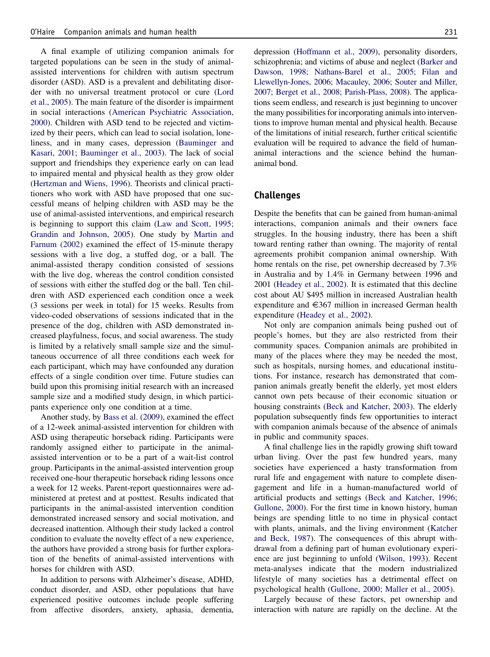A final example of utilizing companion animals for targeted populations can be seen in the study of animalassisted interventions for children with autism spectrum disorder (ASD). ASD is a prevalent and debilitating disorder with no universal treatment protocol or cure ([Lord](#page-8-0) [et al., 2005](#page-8-0)). The main feature of the disorder is impairment in social interactions ([American Psychiatric Association,](#page-6-0) [2000\)](#page-6-0). Children with ASD tend to be rejected and victimized by their peers, which can lead to social isolation, loneliness, and in many cases, depression [\(Bauminger and](#page-7-0) [Kasari, 2001; Bauminger et al., 2003](#page-7-0)). The lack of social support and friendships they experience early on can lead to impaired mental and physical health as they grow older [\(Hertzman and Wiens, 1996\)](#page-7-0). Theorists and clinical practitioners who work with ASD have proposed that one successful means of helping children with ASD may be the use of animal-assisted interventions, and empirical research is beginning to support this claim ([Law and Scott, 1995;](#page-7-0) [Grandin and Johnson, 2005\)](#page-7-0). One study by [Martin and](#page-8-0) [Farnum \(2002\)](#page-8-0) examined the effect of 15-minute therapy sessions with a live dog, a stuffed dog, or a ball. The animal-assisted therapy condition consisted of sessions with the live dog, whereas the control condition consisted of sessions with either the stuffed dog or the ball. Ten children with ASD experienced each condition once a week (3 sessions per week in total) for 15 weeks. Results from video-coded observations of sessions indicated that in the presence of the dog, children with ASD demonstrated increased playfulness, focus, and social awareness. The study is limited by a relatively small sample size and the simultaneous occurrence of all three conditions each week for each participant, which may have confounded any duration effects of a single condition over time. Future studies can build upon this promising initial research with an increased sample size and a modified study design, in which participants experience only one condition at a time.

Another study, by [Bass et al. \(2009\)](#page-7-0), examined the effect of a 12-week animal-assisted intervention for children with ASD using therapeutic horseback riding. Participants were randomly assigned either to participate in the animalassisted intervention or to be a part of a wait-list control group. Participants in the animal-assisted intervention group received one-hour therapeutic horseback riding lessons once a week for 12 weeks. Parent-report questionnaires were administered at pretest and at posttest. Results indicated that participants in the animal-assisted intervention condition demonstrated increased sensory and social motivation, and decreased inattention. Although their study lacked a control condition to evaluate the novelty effect of a new experience, the authors have provided a strong basis for further exploration of the benefits of animal-assisted interventions with horses for children with ASD.

In addition to persons with Alzheimer's disease, ADHD, conduct disorder, and ASD, other populations that have experienced positive outcomes include people suffering from affective disorders, anxiety, aphasia, dementia,

depression ([Hoffmann et al., 2009](#page-7-0)), personality disorders, schizophrenia; and victims of abuse and neglect [\(Barker and](#page-6-0) [Dawson, 1998; Nathans-Barel et al., 2005; Filan and](#page-6-0) [Llewellyn-Jones, 2006; Macauley, 2006; Souter and Miller,](#page-6-0) [2007; Berget et al., 2008; Parish-Plass, 2008\)](#page-6-0). The applications seem endless, and research is just beginning to uncover the many possibilities for incorporating animals into interventions to improve human mental and physical health. Because of the limitations of initial research, further critical scientific evaluation will be required to advance the field of humananimal interactions and the science behind the humananimal bond.

#### Challenges

Despite the benefits that can be gained from human-animal interactions, companion animals and their owners face struggles. In the housing industry, there has been a shift toward renting rather than owning. The majority of rental agreements prohibit companion animal ownership. With home rentals on the rise, pet ownership decreased by 7.3% in Australia and by 1.4% in Germany between 1996 and 2001 [\(Headey et al., 2002](#page-7-0)). It is estimated that this decline cost about AU \$495 million in increased Australian health expenditure and  $\epsilon$ 367 million in increased German health expenditure ([Headey et al., 2002\)](#page-7-0).

Not only are companion animals being pushed out of people's homes, but they are also restricted from their community spaces. Companion animals are prohibited in many of the places where they may be needed the most, such as hospitals, nursing homes, and educational institutions. For instance, research has demonstrated that companion animals greatly benefit the elderly, yet most elders cannot own pets because of their economic situation or housing constraints ([Beck and Katcher, 2003](#page-7-0)). The elderly population subsequently finds few opportunities to interact with companion animals because of the absence of animals in public and community spaces.

A final challenge lies in the rapidly growing shift toward urban living. Over the past few hundred years, many societies have experienced a hasty transformation from rural life and engagement with nature to complete disengagement and life in a human-manufactured world of artificial products and settings ([Beck and Katcher, 1996;](#page-7-0) [Gullone, 2000\)](#page-7-0). For the first time in known history, human beings are spending little to no time in physical contact with plants, animals, and the living environment [\(Katcher](#page-7-0) [and Beck, 1987](#page-7-0)). The consequences of this abrupt withdrawal from a defining part of human evolutionary experience are just beginning to unfold [\(Wilson, 1993](#page-8-0)). Recent meta-analyses indicate that the modern industrialized lifestyle of many societies has a detrimental effect on psychological health ([Gullone, 2000; Maller et al., 2005](#page-7-0)).

Largely because of these factors, pet ownership and interaction with nature are rapidly on the decline. At the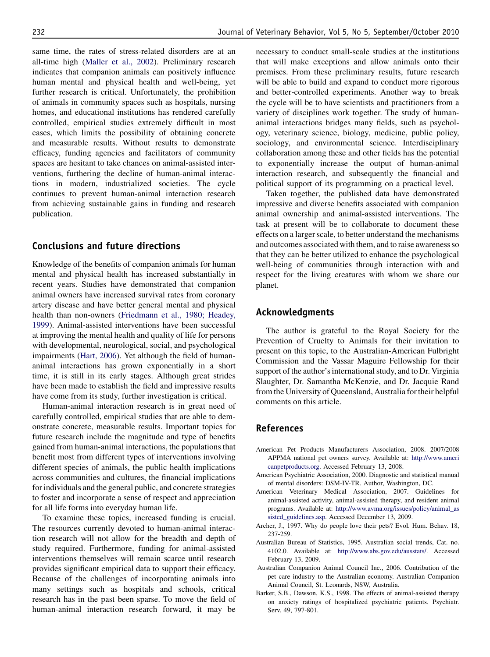same time, the rates of stress-related disorders are at an all-time high [\(Maller et al., 2002\)](#page-8-0). Preliminary research indicates that companion animals can positively influence human mental and physical health and well-being, yet further research is critical. Unfortunately, the prohibition of animals in community spaces such as hospitals, nursing homes, and educational institutions has rendered carefully controlled, empirical studies extremely difficult in most cases, which limits the possibility of obtaining concrete and measurable results. Without results to demonstrate efficacy, funding agencies and facilitators of community spaces are hesitant to take chances on animal-assisted interventions, furthering the decline of human-animal interactions in modern, industrialized societies. The cycle continues to prevent human-animal interaction research from achieving sustainable gains in funding and research publication.

#### Conclusions and future directions

Knowledge of the benefits of companion animals for human mental and physical health has increased substantially in recent years. Studies have demonstrated that companion animal owners have increased survival rates from coronary artery disease and have better general mental and physical health than non-owners [\(Friedmann et al., 1980; Headey,](#page-7-0) [1999\)](#page-7-0). Animal-assisted interventions have been successful at improving the mental health and quality of life for persons with developmental, neurological, social, and psychological impairments [\(Hart, 2006](#page-7-0)). Yet although the field of humananimal interactions has grown exponentially in a short time, it is still in its early stages. Although great strides have been made to establish the field and impressive results have come from its study, further investigation is critical.

Human-animal interaction research is in great need of carefully controlled, empirical studies that are able to demonstrate concrete, measurable results. Important topics for future research include the magnitude and type of benefits gained from human-animal interactions, the populations that benefit most from different types of interventions involving different species of animals, the public health implications across communities and cultures, the financial implications for individuals and the general public, and concrete strategies to foster and incorporate a sense of respect and appreciation for all life forms into everyday human life.

<span id="page-6-0"></span>To examine these topics, increased funding is crucial. The resources currently devoted to human-animal interaction research will not allow for the breadth and depth of study required. Furthermore, funding for animal-assisted interventions themselves will remain scarce until research provides significant empirical data to support their efficacy. Because of the challenges of incorporating animals into many settings such as hospitals and schools, critical research has in the past been sparse. To move the field of human-animal interaction research forward, it may be

necessary to conduct small-scale studies at the institutions that will make exceptions and allow animals onto their premises. From these preliminary results, future research will be able to build and expand to conduct more rigorous and better-controlled experiments. Another way to break the cycle will be to have scientists and practitioners from a variety of disciplines work together. The study of humananimal interactions bridges many fields, such as psychology, veterinary science, biology, medicine, public policy, sociology, and environmental science. Interdisciplinary collaboration among these and other fields has the potential to exponentially increase the output of human-animal interaction research, and subsequently the financial and political support of its programming on a practical level.

Taken together, the published data have demonstrated impressive and diverse benefits associated with companion animal ownership and animal-assisted interventions. The task at present will be to collaborate to document these effects on a larger scale, to better understand the mechanisms and outcomes associated with them, and to raise awareness so that they can be better utilized to enhance the psychological well-being of communities through interaction with and respect for the living creatures with whom we share our planet.

## Acknowledgments

The author is grateful to the Royal Society for the Prevention of Cruelty to Animals for their invitation to present on this topic, to the Australian-American Fulbright Commission and the Vassar Maguire Fellowship for their support of the author's international study, and to Dr. Virginia Slaughter, Dr. Samantha McKenzie, and Dr. Jacquie Rand from the University of Queensland, Australia for their helpful comments on this article.

## References

- American Pet Products Manufacturers Association, 2008. 2007/2008 APPMA national pet owners survey. Available at: [http://www.ameri](http://www.americanpetproducts.org) [canpetproducts.org.](http://www.americanpetproducts.org) Accessed February 13, 2008.
- American Psychiatric Association, 2000. Diagnostic and statistical manual of mental disorders: DSM-IV-TR. Author, Washington, DC.
- American Veterinary Medical Association, 2007. Guidelines for animal-assisted activity, animal-assisted therapy, and resident animal programs. Available at: [http://www.avma.org/issues/policy/animal\\_as](http://www.avma.org/issues/policy/animal_assisted_guidelines.asp) [sisted\\_guidelines.asp](http://www.avma.org/issues/policy/animal_assisted_guidelines.asp). Accessed December 13, 2009.
- Archer, J., 1997. Why do people love their pets? Evol. Hum. Behav. 18, 237-259.
- Australian Bureau of Statistics, 1995. Australian social trends, Cat. no. 4102.0. Available at: <http://www.abs.gov.edu/ausstats/>. Accessed February 13, 2009.
- Australian Companion Animal Council Inc., 2006. Contribution of the pet care industry to the Australian economy. Australian Companion Animal Council, St. Leonards, NSW, Australia.
- Barker, S.B., Dawson, K.S., 1998. The effects of animal-assisted therapy on anxiety ratings of hospitalized psychiatric patients. Psychiatr. Serv. 49, 797-801.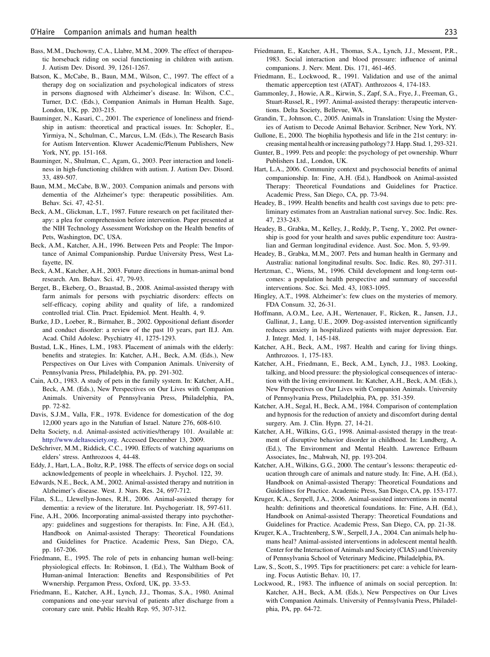- Bass, M.M., Duchowny, C.A., Llabre, M.M., 2009. The effect of therapeutic horseback riding on social functioning in children with autism. J. Autism Dev. Disord. 39, 1261-1267.
- Batson, K., McCabe, B., Baun, M.M., Wilson, C., 1997. The effect of a therapy dog on socialization and psychological indicators of stress in persons diagnosed with Alzheimer's disease. In: Wilson, C.C., Turner, D.C. (Eds.), Companion Animals in Human Health. Sage, London, UK, pp. 203-215.
- Bauminger, N., Kasari, C., 2001. The experience of loneliness and friendship in autism: theoretical and practical issues. In: Schopler, E., Yirmiya, N., Schulman, C., Marcus, L.M. (Eds.), The Research Basis for Autism Intervention. Kluwer Academic/Plenum Publishers, New York, NY, pp. 151-168.
- Bauminger, N., Shulman, C., Agam, G., 2003. Peer interaction and loneliness in high-functioning children with autism. J. Autism Dev. Disord. 33, 489-507.
- Baun, M.M., McCabe, B.W., 2003. Companion animals and persons with dementia of the Alzheimer's type: therapeutic possibilities. Am. Behav. Sci. 47, 42-51.
- Beck, A.M., Glickman, L.T., 1987. Future research on pet facilitated therapy: a plea for comprehension before intervention. Paper presented at the NIH Technology Assessment Workshop on the Health benefits of Pets, Washington, DC, USA.
- Beck, A.M., Katcher, A.H., 1996. Between Pets and People: The Importance of Animal Companionship. Purdue University Press, West Lafayette, IN.
- Beck, A.M., Katcher, A.H., 2003. Future directions in human-animal bond research. Am. Behav. Sci. 47, 79-93.
- Berget, B., Ekeberg, O., Braastad, B., 2008. Animal-assisted therapy with farm animals for persons with psychiatric disorders: effects on self-efficacy, coping ability and quality of life, a randomized controlled trial. Clin. Pract. Epidemiol. Ment. Health. 4, 9.
- Burke, J.D., Loeber, R., Birmaher, B., 2002. Oppositional defiant disorder and conduct disorder: a review of the past 10 years, part II.J. Am. Acad. Child Adolesc. Psychiatry 41, 1275-1293.
- Bustad, L.K., Hines, L.M., 1983. Placement of animals with the elderly: benefits and strategies. In: Katcher, A.H., Beck, A.M. (Eds.), New Perspectives on Our Lives with Companion Animals. University of Pennsylvania Press, Philadelphia, PA, pp. 291-302.
- Cain, A.O., 1983. A study of pets in the family system. In: Katcher, A.H., Beck, A.M. (Eds.), New Perspectives on Our Lives with Companion Animals. University of Pennsylvania Press, Philadelphia, PA, pp. 72-82.
- Davis, S.J.M., Valla, F.R., 1978. Evidence for domestication of the dog 12,000 years ago in the Natufian of Israel. Nature 276, 608-610.
- Delta Society, n.d. Animal-assisted activities/therapy 101. Available at: [http://www.deltasociety.org.](http://www.deltasociety.org) Accessed December 13, 2009.
- DeSchriver, M.M., Riddick, C.C., 1990. Effects of watching aquariums on elders' stress. Anthrozoos 4, 44-48.
- Eddy, J., Hart, L.A., Boltz, R.P., 1988. The effects of service dogs on social acknowledgements of people in wheelchairs. J. Psychol. 122, 39.
- Edwards, N.E., Beck, A.M., 2002. Animal-assisted therapy and nutrition in Alzheimer's disease. West. J. Nurs. Res. 24, 697-712.
- Filan, S.L., Llewellyn-Jones, R.H., 2006. Animal-assisted therapy for dementia: a review of the literature. Int. Psychogeriatr. 18, 597-611.
- Fine, A.H., 2006. Incorporating animal-assisted therapy into psychotherapy: guidelines and suggestions for therapists. In: Fine, A.H. (Ed.), Handbook on Animal-assisted Therapy: Theoretical Foundations and Guidelines for Practice. Academic Press, San Diego, CA, pp. 167-206.
- Friedmann, E., 1995. The role of pets in enhancing human well-being: physiological effects. In: Robinson, I. (Ed.), The Waltham Book of Human-animal Interaction: Benefits and Responsibilities of Pet Wwnership. Pergamon Press, Oxford, UK, pp. 33-53.
- <span id="page-7-0"></span>Friedmann, E., Katcher, A.H., Lynch, J.J., Thomas, S.A., 1980. Animal companions and one-year survival of patients after discharge from a coronary care unit. Public Health Rep. 95, 307-312.
- Friedmann, E., Katcher, A.H., Thomas, S.A., Lynch, J.J., Messent, P.R., 1983. Social interaction and blood pressure: influence of animal companions. J. Nerv. Ment. Dis. 171, 461-465.
- Friedmann, E., Lockwood, R., 1991. Validation and use of the animal thematic apperception test (ATAT). Anthrozoos 4, 174-183.
- Gammonley, J., Howie, A.R., Kirwin, S., Zapf, S.A., Frye, J., Freeman, G., Stuart-Russel, R., 1997. Animal-assisted therapy: therapeutic interventions. Delta Society, Bellevue, WA.
- Grandin, T., Johnson, C., 2005. Animals in Translation: Using the Mysteries of Autism to Decode Animal Behavior. Scribner, New York, NY.
- Gullone, E., 2000. The biophilia hypothesis and life in the 21st century: increasing mental health or increasing pathology? J. Happ. Stud. 1, 293-321.
- Gunter, B., 1999. Pets and people: the psychology of pet ownership. Whurr Publishers Ltd., London, UK.
- Hart, L.A., 2006. Community context and psychosocial benefits of animal companionship. In: Fine, A.H. (Ed.), Handbook on Animal-assisted Therapy: Theoretical Foundations and Guidelines for Practice. Academic Press, San Diego, CA, pp. 73-94.
- Headey, B., 1999. Health benefits and health cost savings due to pets: preliminary estimates from an Australian national survey. Soc. Indic. Res. 47, 233-243.
- Headey, B., Grabka, M., Kelley, J., Reddy, P., Tseng, Y., 2002. Pet ownership is good for your health and saves public expenditure too: Australian and German longitudinal evidence. Aust. Soc. Mon. 5, 93-99.
- Headey, B., Grabka, M.M., 2007. Pets and human health in Germany and Australia: national longitudinal results. Soc. Indic. Res. 80, 297-311.
- Hertzman, C., Wiens, M., 1996. Child development and long-term outcomes: a population health perspective and summary of successful interventions. Soc. Sci. Med. 43, 1083-1095.
- Hingley, A.T., 1998. Alzheimer's: few clues on the mysteries of memory. FDA Consum. 32, 26-31.
- Hoffmann, A.O.M., Lee, A.H., Wertenauer, F., Ricken, R., Jansen, J.J., Gallinat, J., Lang, U.E., 2009. Dog-assisted intervention significantly reduces anxiety in hospitalized patients with major depression. Eur. J. Integr. Med. 1, 145-148.
- Katcher, A.H., Beck, A.M., 1987. Health and caring for living things. Anthrozoos. 1, 175-183.
- Katcher, A.H., Friedmann, E., Beck, A.M., Lynch, J.J., 1983. Looking, talking, and blood pressure: the physiological consequences of interaction with the living environment. In: Katcher, A.H., Beck, A.M. (Eds.), New Perspectives on Our Lives with Companion Animals. University of Pennsylvania Press, Philadelphia, PA, pp. 351-359.
- Katcher, A.H., Segal, H., Beck, A.M., 1984. Comparison of contemplation and hypnosis for the reduction of anxiety and discomfort during dental surgery. Am. J. Clin. Hypn. 27, 14-21.
- Katcher, A.H., Wilkins, G.G., 1998. Animal-assisted therapy in the treatment of disruptive behavior disorder in childhood. In: Lundberg, A. (Ed.), The Environment and Mental Health. Lawrence Erlbaum Associates, Inc., Mahwah, NJ, pp. 193-204.
- Katcher, A.H., Wilkins, G.G., 2000. The centaur's lessons: therapeutic education through care of animals and nature study. In: Fine, A.H. (Ed.), Handbook on Animal-assisted Therapy: Theoretical Foundations and Guidelines for Practice. Academic Press, San Diego, CA, pp. 153-177.
- Kruger, K.A., Serpell, J.A., 2006. Animal-assisted interventions in mental health: definitions and theoretical foundations. In: Fine, A.H. (Ed.), Handbook on Animal-assisted Therapy: Theoretical Foundations and Guidelines for Practice. Academic Press, San Diego, CA, pp. 21-38.
- Kruger, K.A., Trachtenberg, S.W., Serpell, J.A., 2004. Can animals help humans heal? Animal-assisted interventions in adolescent mental health. Center for the Interaction of Animals and Society (CIAS) and University of Pennsylvania School of Veterinary Medicine, Philadelphia, PA.
- Law, S., Scott, S., 1995. Tips for practitioners: pet care: a vehicle for learning. Focus Autistic Behav. 10, 17.
- Lockwood, R., 1983. The influence of animals on social perception. In: Katcher, A.H., Beck, A.M. (Eds.), New Perspectives on Our Lives with Companion Animals. University of Pennsylvania Press, Philadelphia, PA, pp. 64-72.